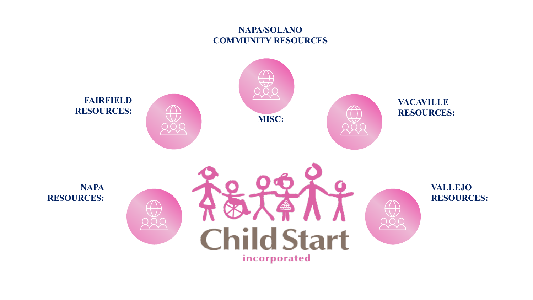#### **NAPA/SOLANO COMMUNITY RESOURCES**

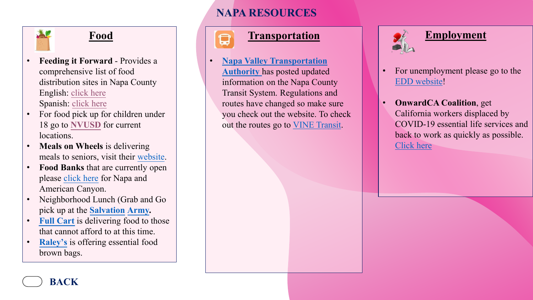# **Food**

- **Feeding it Forward**  Provides a comprehensive list of food distribution sites in Napa County English: [click here](https://fifnv.org/wp-content/uploads/FoodResources.pdf) Spanish: [click here](https://fifnv.org/wp-content/uploads/FoodResources_Spanish.pdf)
- For food pick up for children under 18 go to **[NVUSD](https://nvusd-ca.schoolloop.com/nosh)** for current locations.
- **Meals on Wheels** is delivering meals to seniors, visit their [website](http://canv.org/food-nutrition/meals-on-wheels-for-seniors/).
- **Food Banks** that are currently open please [click here](https://canv.org/emergency-food-pantry/) for Napa and American Canyon.
- [Neighborhood Lunch \(Grab and G](https://napa.salvationarmy.org/)o pick up at the **Salvation Army.**
- **Full Cart** is delivering food to those that cannot afford to at this time.
- **[Raley's](https://www.raleys.com/senior-essentials-bag/?fbclid=IwAR2dTLVfVCbNwSL0Y37RwA1w5DFEfry5UQB4PAGgXn627Z7bOerSBlff2rg)** is offering essential food brown bags.

**BACK**

# **NAPA RESOURCES**

#### **Transportation**

• **[Napa Valley Transportation](https://vcommute.org/public-transit) Authority** has posted updated information on the Napa County Transit System. Regulations and routes have changed so make sure you check out the website. To check out the routes go to [VINE Transit](https://vinetransit.com/).



#### **Employment**

- For unemployment please go to the [EDD website](https://edd.ca.gov/about_edd/coronavirus-2019.htm)!
- **OnwardCA Coalition**, get California workers displaced by COVID-19 essential life services and back to work as quickly as possible. [Click here](https://onwardca.org/)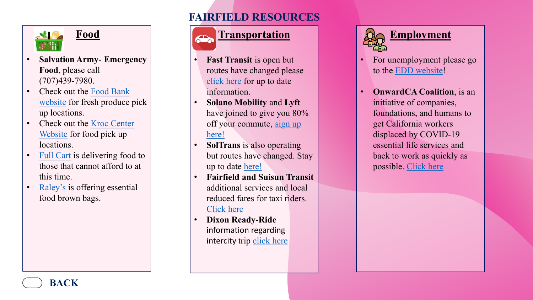

# **Food**

- **Salvation Army- Emergency Food**, please call (707)439-7980.
- [Check out the Food Bank](https://www.foodbankccs.org/about/our-programs/) website for fresh produce pick up locations.
- [Check out the Kroc Center](https://gokroc.org/kroc-suisun-city/find-help) Website for food pick up locations.
- Full Cart is delivering food to [those that cannot afford to](https://fullcart.org/good-deeds-apply/) at this time.
- Raley's [is offering essentia](https://www.raleys.com/news/senior-essentials-bags/)l food brown bags.

# **FAIRFIELD RESOURCES**

# **Transportation**

- **Fast Transit** is open but routes have changed please [click here f](https://fasttransit.org/service-advisory/)or up to date information.
- **Solano Mobility** and **Lyft** have joined to give you 80% [off your commute, sign up](https://www.solanomobility.org/commuter-programs/) here!
- **SolTrans** is also operating but routes have changed. Stay up to date [here!](https://soltrans.org/covid-19/)
- **Fairfield and Suisun Transit** additional services and local reduced fares for taxi riders. [Click here](https://fasttransit.org/)
- **Dixon Ready-Ride** information regarding intercity trip [click here](https://www.ci.dixon.ca.us/235/Transit)



- For unemployment please go to the [EDD website!](https://edd.ca.gov/about_edd/coronavirus-2019.htm)
- **OnwardCA Coalition**, is an initiative of companies, foundations, and humans to get California workers displaced by COVID-19 essential life services and back to work as quickly as possible. [Click here](https://onwardca.org/)

**BACK**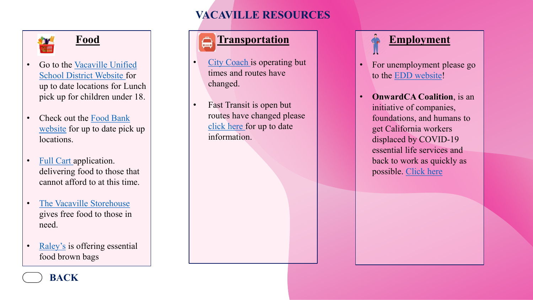# **VACAVILLE RESOURCES**



# **Food**

- Go to the Vacaville Unified [School District Website for](https://www.vacavilleusd.org/pf4/cms2/view_page?d=x&group_id=1516177894057&vdid=i11d2i3fxmm9pu)  up to date locations for Lunch pick up for children under 18.
- [Check out the Food Bank](https://www.foodbankccs.org/get-help/foodbycity/get-food-vacaville.html) website for up to date pick up locations.
- [Full Cart](https://fullcart.org/good-deeds-apply/) application. delivering food to those that cannot afford to at this time.
- [The Vacaville Storehouse](http://vacavillestorehouse.org/)  gives free food to those in need.
- [Raley's](https://www.raleys.com/senior-essentials-bag/?fbclid=IwAR2dTLVfVCbNwSL0Y37RwA1w5DFEfry5UQB4PAGgXn627Z7bOerSBlff2rg) is offering essential food brown bags

# **Transportation**

- [City Coach](http://www.citycoach.com/?fbclid=IwAR1TDodG7VUf6joBOQsf1czb3cYe1J3EikEcMyoXk2vru1fFNMbwLL1YSkE) is operating but times and routes have changed.
- Fast Transit is open but routes have changed please [click here f](https://fasttransit.org/service-advisory/)or up to date information.



- For unemployment please go to the [EDD website](https://edd.ca.gov/about_edd/coronavirus-2019.htm)!
- **OnwardCA Coalition**, is an initiative of companies, foundations, and humans to get California workers displaced by COVID-19 essential life services and back to work as quickly as possible. [Click here](https://onwardca.org/)

**BACK**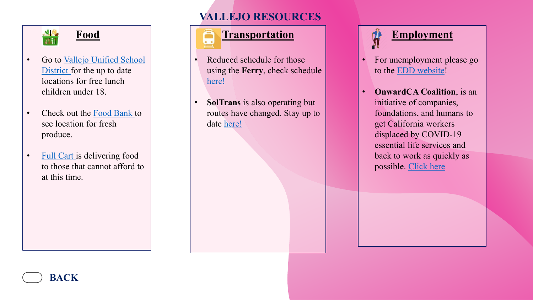

# **Food**

- Go to Vallejo Unified School District for the up to date locations for free lunch children under 18.
- Check out the [Food Bank t](https://www.foodbankccs.org/get-help/foodbycity/get-food-vallejo.html)o see location for fresh produce.
- [Full Cart](https://fullcart.org/good-deeds-apply/) is delivering food to those that cannot afford to at this time.

**BACK**

# **VALLEJO RESOURCES**

# **Transportation**

- Reduced schedule for those using the **Ferry**, check schedule [here!](https://sanfranciscobayferry.com/news/shelter)
- **SolTrans** is also operating but routes have changed. Stay up to date [here!](https://soltrans.org/covid-19/)



- For unemployment please go to the [EDD website!](https://edd.ca.gov/about_edd/coronavirus-2019.htm)
- **OnwardCA Coalition**, is an initiative of companies, foundations, and humans to get California workers displaced by COVID-19 essential life services and back to work as quickly as possible. [Click here](https://onwardca.org/)